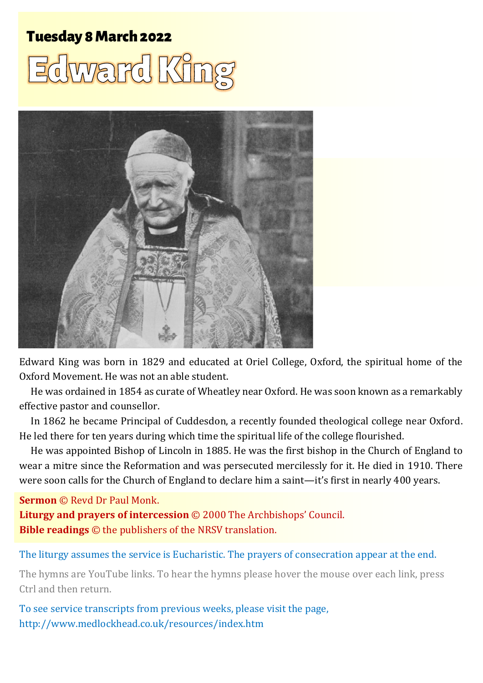# **Tuesday 8 March 2022**





Edward King was born in 1829 and educated at Oriel College, Oxford, the spiritual home of the Oxford Movement. He was not an able student.

He was ordained in 1854 as curate of Wheatley near Oxford. He was soon known as a remarkably effective pastor and counsellor.

In 1862 he became Principal of Cuddesdon, a recently founded theological college near Oxford. He led there for ten years during which time the spiritual life of the college flourished.

He was appointed Bishop of Lincoln in 1885. He was the first bishop in the Church of England to wear a mitre since the Reformation and was persecuted mercilessly for it. He died in 1910. There were soon calls for the Church of England to declare him a saint—it's first in nearly 400 years.

**Sermon** © Revd Dr Paul Monk.

**Liturgy and prayers of intercession** © 2000 The Archbishops' Council. **Bible readings** © the publishers of the NRSV translation.

The liturgy assumes the service is Eucharistic. The prayers of consecration appear at the end.

The hymns are YouTube links. To hear the hymns please hover the mouse over each link, press Ctrl and then return.

To see service transcripts from previous weeks, please visit the page, <http://www.medlockhead.co.uk/resources/index.htm>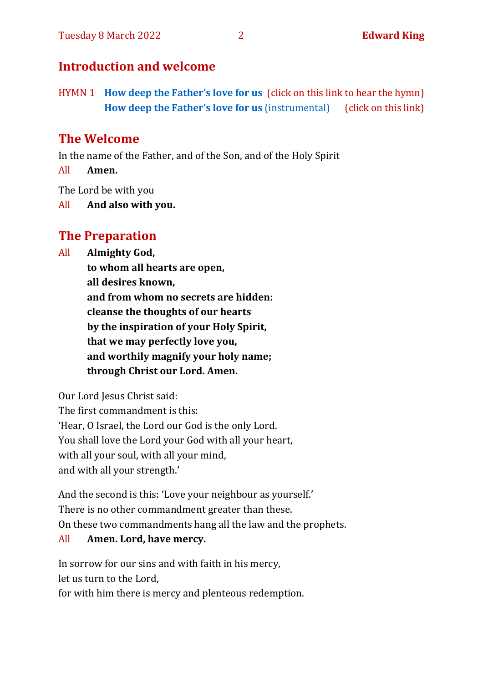# **Introduction and welcome**

HYMN 1 **[How deep the Father's love for us](https://www.youtube.com/watch?v=krTOZkf-yYs)** (click on this link to hear the hymn) **[How deep the Father's love for us](https://www.youtube.com/watch?v=uty2jlD55G8)** (instrumental) (click on this link)

# **The Welcome**

In the name of the Father, and of the Son, and of the Holy Spirit

All **Amen.**

The Lord be with you

All **And also with you.**

# **The Preparation**

All **Almighty God,**

**to whom all hearts are open, all desires known, and from whom no secrets are hidden: cleanse the thoughts of our hearts by the inspiration of your Holy Spirit, that we may perfectly love you, and worthily magnify your holy name; through Christ our Lord. Amen.**

Our Lord Jesus Christ said: The first commandment is this: 'Hear, O Israel, the Lord our God is the only Lord. You shall love the Lord your God with all your heart, with all your soul, with all your mind, and with all your strength.'

And the second is this: 'Love your neighbour as yourself.' There is no other commandment greater than these. On these two commandments hang all the law and the prophets. All **Amen. Lord, have mercy.**

In sorrow for our sins and with faith in his mercy, let us turn to the Lord, for with him there is mercy and plenteous redemption.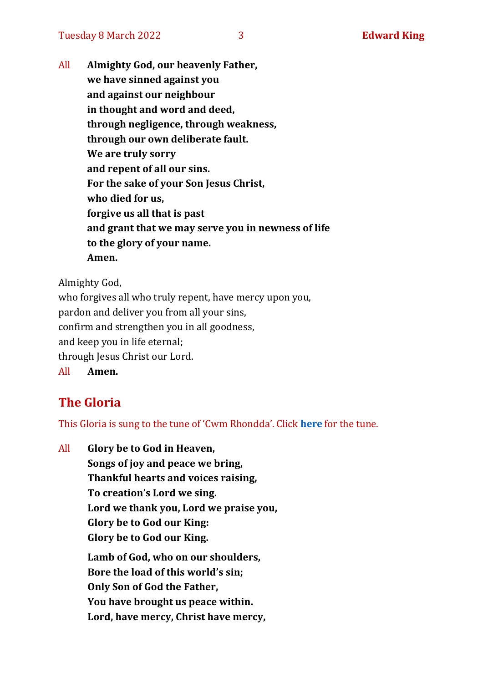All **Almighty God, our heavenly Father, we have sinned against you and against our neighbour in thought and word and deed, through negligence, through weakness, through our own deliberate fault. We are truly sorry and repent of all our sins. For the sake of your Son Jesus Christ, who died for us, forgive us all that is past and grant that we may serve you in newness of life to the glory of your name. Amen.**

Almighty God,

who forgives all who truly repent, have mercy upon you, pardon and deliver you from all your sins, confirm and strengthen you in all goodness, and keep you in life eternal; through Jesus Christ our Lord. All **Amen.**

# **The Gloria**

This Gloria is sung to the tune of 'Cwm Rhondda'. Click **[here](https://www.youtube.com/watch?v=l71MLQ22dIk)** for the tune.

All **Glory be to God in Heaven, Songs of joy and peace we bring, Thankful hearts and voices raising, To creation's Lord we sing. Lord we thank you, Lord we praise you, Glory be to God our King: Glory be to God our King. Lamb of God, who on our shoulders, Bore the load of this world's sin; Only Son of God the Father, You have brought us peace within. Lord, have mercy, Christ have mercy,**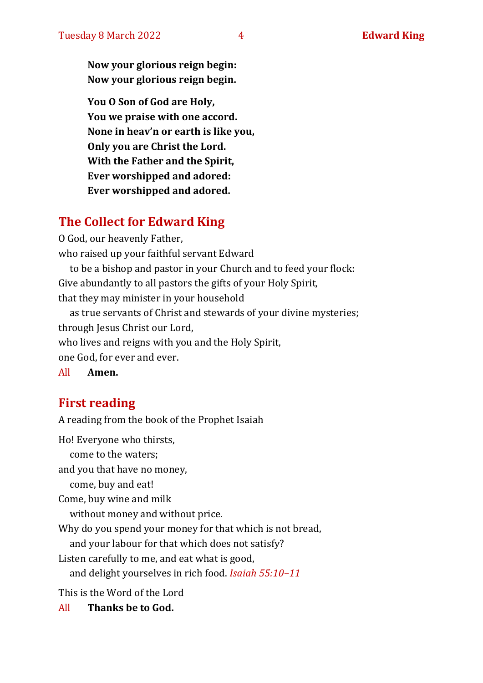**Now your glorious reign begin: Now your glorious reign begin.**

**You O Son of God are Holy, You we praise with one accord. None in heav'n or earth is like you, Only you are Christ the Lord. With the Father and the Spirit, Ever worshipped and adored: Ever worshipped and adored.**

# **The Collect for Edward King**

O God, our heavenly Father, who raised up your faithful servant Edward to be a bishop and pastor in your Church and to feed your flock: Give abundantly to all pastors the gifts of your Holy Spirit, that they may minister in your household as true servants of Christ and stewards of your divine mysteries; through Jesus Christ our Lord,

who lives and reigns with you and the Holy Spirit,

one God, for ever and ever.

All **Amen.**

# **First reading**

A reading from the book of the Prophet Isaiah

Ho! Everyone who thirsts, come to the waters; and you that have no money, come, buy and eat! Come, buy wine and milk without money and without price. Why do you spend your money for that which is not bread, and your labour for that which does not satisfy? Listen carefully to me, and eat what is good, and delight yourselves in rich food. *Isaiah 55:10–11*  This is the Word of the Lord All **Thanks be to God.**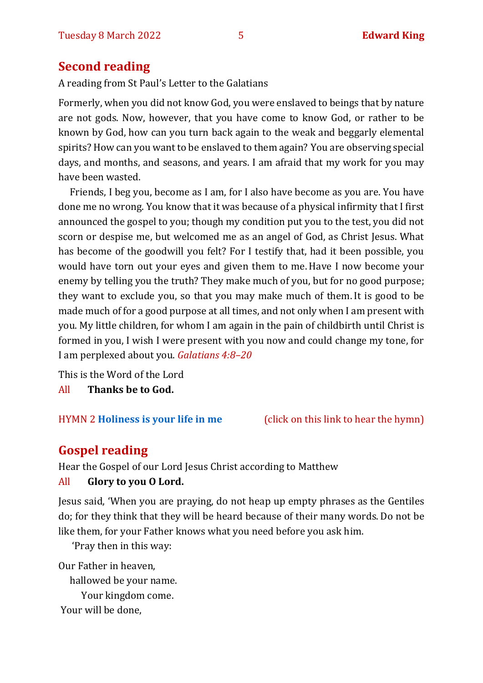# **Second reading**

A reading from St Paul's Letter to the Galatians

Formerly, when you did not know God, you were enslaved to beings that by nature are not gods. Now, however, that you have come to know God, or rather to be known by God, how can you turn back again to the weak and beggarly elemental spirits? How can you want to be enslaved to them again? You are observing special days, and months, and seasons, and years. I am afraid that my work for you may have been wasted.

Friends, I beg you, become as I am, for I also have become as you are. You have done me no wrong. You know that it was because of a physical infirmity that I first announced the gospel to you; though my condition put you to the test, you did not scorn or despise me, but welcomed me as an angel of God, as Christ Jesus. What has become of the goodwill you felt? For I testify that, had it been possible, you would have torn out your eyes and given them to me.Have I now become your enemy by telling you the truth? They make much of you, but for no good purpose; they want to exclude you, so that you may make much of them. It is good to be made much of for a good purpose at all times, and not only when I am present with you. My little children, for whom I am again in the pain of childbirth until Christ is formed in you, I wish I were present with you now and could change my tone, for I am perplexed about you. *Galatians 4:8–20*

This is the Word of the Lord

All **Thanks be to God.**

# HYMN 2 **[Holiness is your life in me](https://www.youtube.com/watch?v=vJDEgUks4ZI)** (click on this link to hear the hymn)

# **Gospel reading**

Hear the Gospel of our Lord Jesus Christ according to Matthew

# All **Glory to you O Lord.**

Jesus said, 'When you are praying, do not heap up empty phrases as the Gentiles do; for they think that they will be heard because of their many words. Do not be like them, for your Father knows what you need before you ask him.

'Pray then in this way:

Our Father in heaven, hallowed be your name. Your kingdom come. Your will be done,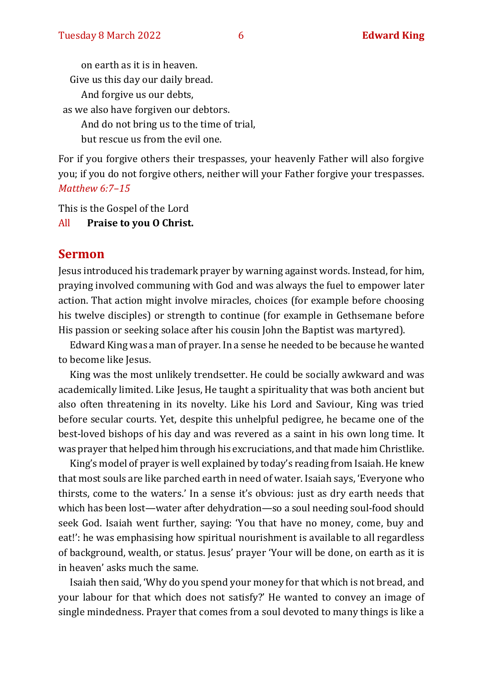on earth as it is in heaven. Give us this day our daily bread. And forgive us our debts, as we also have forgiven our debtors. And do not bring us to the time of trial, but rescue us from the evil one.

For if you forgive others their trespasses, your heavenly Father will also forgive you; if you do not forgive others, neither will your Father forgive your trespasses. *Matthew 6:7–15*

This is the Gospel of the Lord

#### All **Praise to you O Christ.**

#### **Sermon**

Jesus introduced his trademark prayer by warning against words. Instead, for him, praying involved communing with God and was always the fuel to empower later action. That action might involve miracles, choices (for example before choosing his twelve disciples) or strength to continue (for example in Gethsemane before His passion or seeking solace after his cousin John the Baptist was martyred).

Edward King was a man of prayer. In a sense he needed to be because he wanted to become like Jesus.

King was the most unlikely trendsetter. He could be socially awkward and was academically limited. Like Jesus, He taught a spirituality that was both ancient but also often threatening in its novelty. Like his Lord and Saviour, King was tried before secular courts. Yet, despite this unhelpful pedigree, he became one of the best-loved bishops of his day and was revered as a saint in his own long time. It was prayer that helped him through his excruciations, and that made him Christlike.

King's model of prayer is well explained by today's reading from Isaiah. He knew that most souls are like parched earth in need of water. Isaiah says, 'Everyone who thirsts, come to the waters.' In a sense it's obvious: just as dry earth needs that which has been lost—water after dehydration—so a soul needing soul-food should seek God. Isaiah went further, saying: 'You that have no money, come, buy and eat!': he was emphasising how spiritual nourishment is available to all regardless of background, wealth, or status. Jesus' prayer 'Your will be done, on earth as it is in heaven' asks much the same.

Isaiah then said, 'Why do you spend your money for that which is not bread, and your labour for that which does not satisfy?' He wanted to convey an image of single mindedness. Prayer that comes from a soul devoted to many things is like a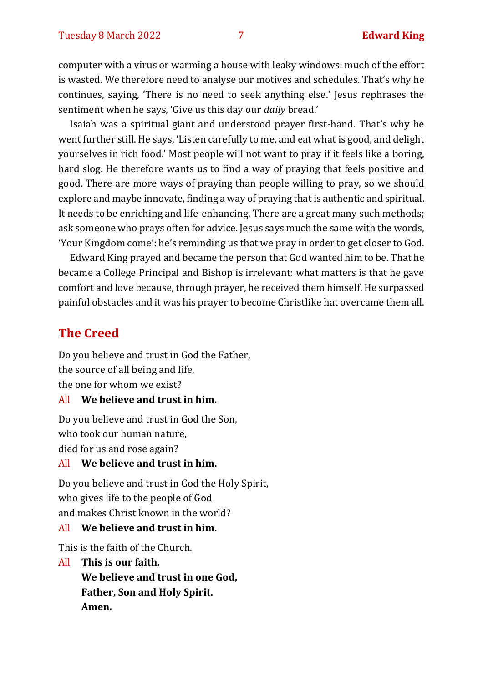computer with a virus or warming a house with leaky windows: much of the effort is wasted. We therefore need to analyse our motives and schedules. That's why he continues, saying, 'There is no need to seek anything else.' Jesus rephrases the sentiment when he says, 'Give us this day our *daily* bread.'

Isaiah was a spiritual giant and understood prayer first-hand. That's why he went further still. He says, 'Listen carefully to me, and eat what is good, and delight yourselves in rich food.' Most people will not want to pray if it feels like a boring, hard slog. He therefore wants us to find a way of praying that feels positive and good. There are more ways of praying than people willing to pray, so we should explore and maybe innovate, finding a way of praying that is authentic and spiritual. It needs to be enriching and life-enhancing. There are a great many such methods; ask someone who prays often for advice. Jesus says much the same with the words, 'Your Kingdom come': he's reminding us that we pray in order to get closer to God.

Edward King prayed and became the person that God wanted him to be. That he became a College Principal and Bishop is irrelevant: what matters is that he gave comfort and love because, through prayer, he received them himself. He surpassed painful obstacles and it was his prayer to become Christlike hat overcame them all.

# **The Creed**

Do you believe and trust in God the Father, the source of all being and life, the one for whom we exist?

All **We believe and trust in him.**

Do you believe and trust in God the Son, who took our human nature, died for us and rose again?

All **We believe and trust in him.**

Do you believe and trust in God the Holy Spirit, who gives life to the people of God and makes Christ known in the world?

#### All **We believe and trust in him.**

This is the faith of the Church.

All **This is our faith. We believe and trust in one God, Father, Son and Holy Spirit. Amen.**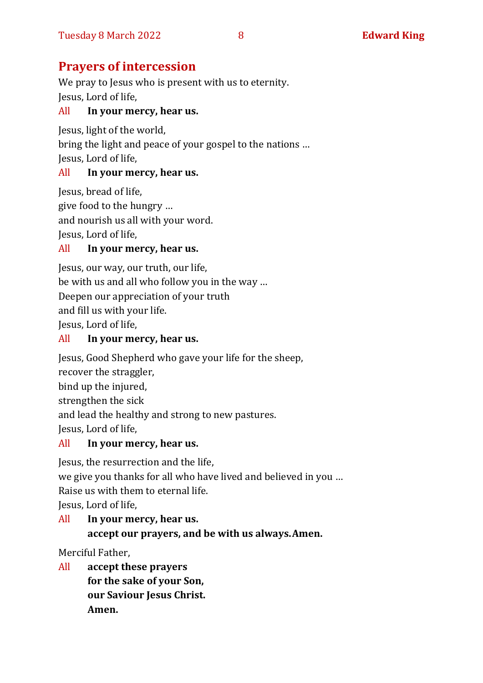# **Prayers of intercession**

We pray to Jesus who is present with us to eternity. Jesus, Lord of life,

#### All **In your mercy, hear us.**

Jesus, light of the world,

bring the light and peace of your gospel to the nations … Jesus, Lord of life,

#### All **In your mercy, hear us.**

Jesus, bread of life, give food to the hungry … and nourish us all with your word. Jesus, Lord of life,

#### All **In your mercy, hear us.**

Jesus, our way, our truth, our life, be with us and all who follow you in the way … Deepen our appreciation of your truth and fill us with your life. Jesus, Lord of life,

#### All **In your mercy, hear us.**

Jesus, Good Shepherd who gave your life for the sheep,

recover the straggler,

bind up the injured,

strengthen the sick

and lead the healthy and strong to new pastures.

Jesus, Lord of life,

#### All **In your mercy, hear us.**

Jesus, the resurrection and the life,

we give you thanks for all who have lived and believed in you …

Raise us with them to eternal life.

Jesus, Lord of life,

### All **In your mercy, hear us. accept our prayers, and be with us always.Amen.**

Merciful Father,

All **accept these prayers for the sake of your Son, our Saviour Jesus Christ. Amen.**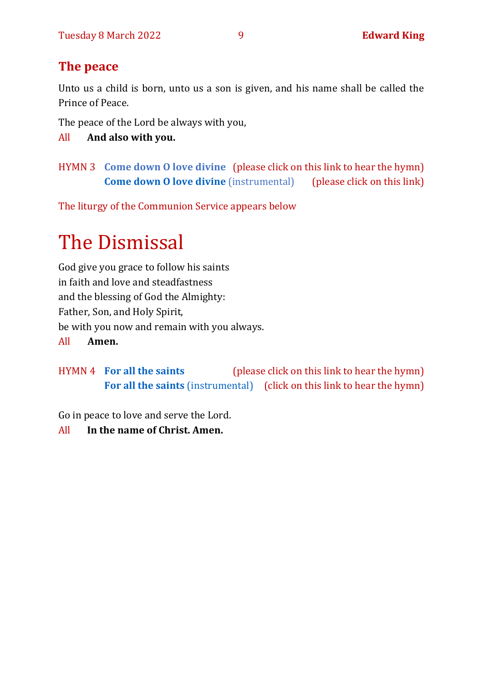# **The peace**

Unto us a child is born, unto us a son is given, and his name shall be called the Prince of Peace.

The peace of the Lord be always with you,

- All **And also with you.**
- HYMN 3 **[Come down O love divine](https://youtu.be/FbPclyCaY0w)** (please click on this link to hear the hymn) **[Come down O love divine](https://www.youtube.com/watch?v=0S5pYyxwZVc)** (instrumental) (please click on this link)

The liturgy of the Communion Service appears below

# The Dismissal

God give you grace to follow his saints in faith and love and steadfastness and the blessing of God the Almighty: Father, Son, and Holy Spirit, be with you now and remain with you always. All **Amen.**

HYMN 4 **[For all the saints](https://www.youtube.com/watch?v=WbPshOGxpew)** (please click on this link to hear the hymn) **[For all the saints](https://www.youtube.com/watch?v=BCVr6u6xizs)** (instrumental) (click on this link to hear the hymn)

Go in peace to love and serve the Lord.

All **In the name of Christ. Amen.**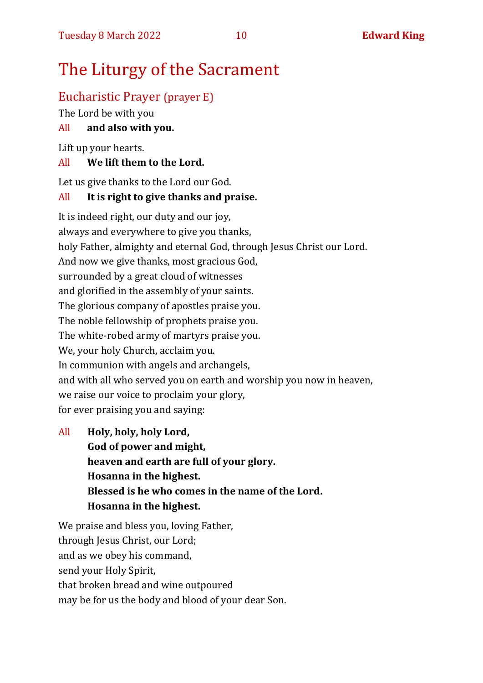# The Liturgy of the Sacrament

# Eucharistic Prayer (prayer E)

The Lord be with you

### All **and also with you.**

Lift up your hearts.

#### All **We lift them to the Lord.**

Let us give thanks to the Lord our God.

#### All **It is right to give thanks and praise.**

It is indeed right, our duty and our joy, always and everywhere to give you thanks, holy Father, almighty and eternal God, through Jesus Christ our Lord. And now we give thanks, most gracious God, surrounded by a great cloud of witnesses and glorified in the assembly of your saints. The glorious company of apostles praise you. The noble fellowship of prophets praise you. The white-robed army of martyrs praise you. We, your holy Church, acclaim you. In communion with angels and archangels, and with all who served you on earth and worship you now in heaven, we raise our voice to proclaim your glory, for ever praising you and saying:

All **Holy, holy, holy Lord, God of power and might, heaven and earth are full of your glory. Hosanna in the highest. Blessed is he who comes in the name of the Lord. Hosanna in the highest.**

We praise and bless you, loving Father, through Jesus Christ, our Lord; and as we obey his command, send your Holy Spirit, that broken bread and wine outpoured may be for us the body and blood of your dear Son.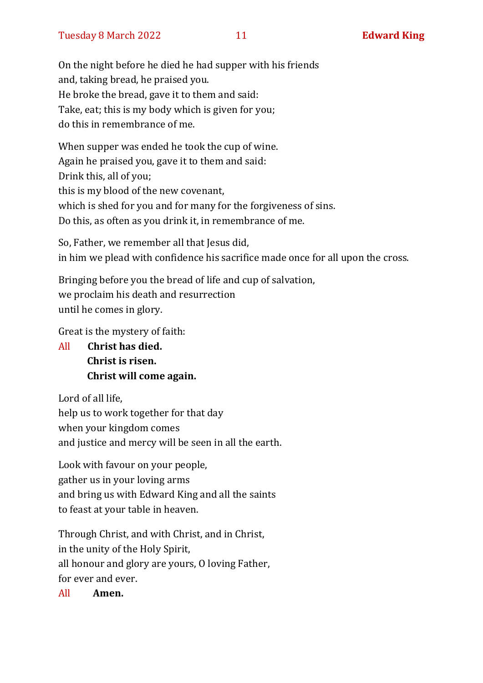On the night before he died he had supper with his friends and, taking bread, he praised you. He broke the bread, gave it to them and said: Take, eat; this is my body which is given for you; do this in remembrance of me.

When supper was ended he took the cup of wine. Again he praised you, gave it to them and said: Drink this, all of you; this is my blood of the new covenant, which is shed for you and for many for the forgiveness of sins. Do this, as often as you drink it, in remembrance of me.

So, Father, we remember all that Jesus did, in him we plead with confidence his sacrifice made once for all upon the cross.

Bringing before you the bread of life and cup of salvation, we proclaim his death and resurrection until he comes in glory.

Great is the mystery of faith:

All **Christ has died. Christ is risen. Christ will come again.**

Lord of all life, help us to work together for that day when your kingdom comes and justice and mercy will be seen in all the earth.

Look with favour on your people, gather us in your loving arms and bring us with Edward King and all the saints to feast at your table in heaven.

Through Christ, and with Christ, and in Christ, in the unity of the Holy Spirit, all honour and glory are yours, O loving Father, for ever and ever.

All **Amen.**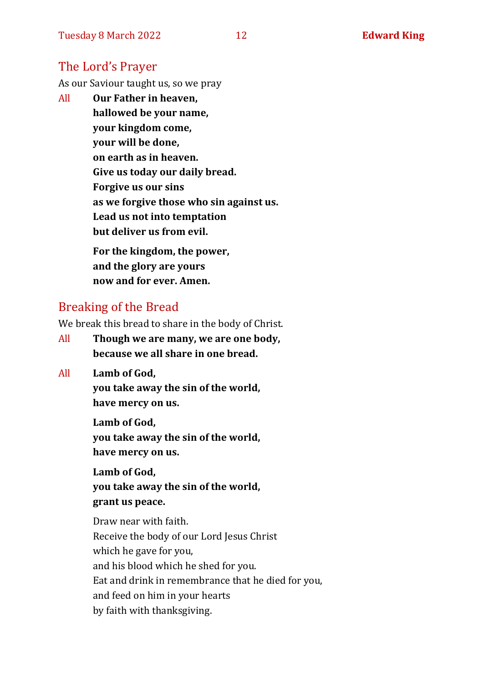# The Lord's Prayer

As our Saviour taught us, so we pray

All **Our Father in heaven, hallowed be your name, your kingdom come, your will be done, on earth as in heaven. Give us today our daily bread. Forgive us our sins as we forgive those who sin against us. Lead us not into temptation but deliver us from evil. For the kingdom, the power,** 

**and the glory are yours now and for ever. Amen.**

### Breaking of the Bread

We break this bread to share in the body of Christ.

- All **Though we are many, we are one body, because we all share in one bread.**
- All **Lamb of God,**

**you take away the sin of the world, have mercy on us.**

**Lamb of God, you take away the sin of the world, have mercy on us.**

**Lamb of God, you take away the sin of the world, grant us peace.**

Draw near with faith. Receive the body of our Lord Jesus Christ which he gave for you, and his blood which he shed for you. Eat and drink in remembrance that he died for you, and feed on him in your hearts by faith with thanksgiving.